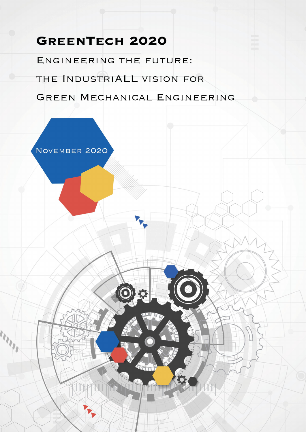# **GREENTECH 2020**

ENGINEERING THE FUTURE: THE INDUSTRIALL VISION FOR GREEN MECHANICAL ENGINEERING

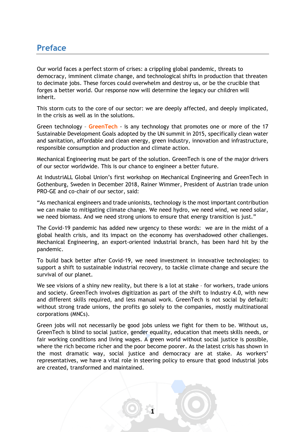#### **Preface**

Our world faces a perfect storm of crises: a crippling global pandemic, threats to democracy, imminent climate change, and technological shifts in production that threaten to decimate jobs. These forces could overwhelm and destroy us, or be the crucible that forges a better world. Our response now will determine the legacy our children will inherit.

This storm cuts to the core of our sector: we are deeply affected, and deeply implicated, in the crisis as well as in the solutions.

Green technology – **GreenTech** - is any technology that promotes one or more of the 17 Sustainable Development Goals adopted by the UN summit in 2015, specifically clean water and sanitation, affordable and clean energy, green industry, innovation and infrastructure, responsible consumption and production and climate action.

Mechanical Engineering must be part of the solution. GreenTech is one of the major drivers of our sector worldwide. This is our chance to engineer a better future.

At IndustriALL Global Union's first workshop on Mechanical Engineering and GreenTech in Gothenburg, Sweden in December 2018, Rainer Wimmer, President of Austrian trade union PRO-GE and co-chair of our sector, said:

"As mechanical engineers and trade unionists, technology is the most important contribution we can make to mitigating climate change. We need hydro, we need wind, we need solar, we need biomass. And we need strong unions to ensure that energy transition is just."

The Covid-19 pandemic has added new urgency to these words: we are in the midst of a global health crisis, and its impact on the economy has overshadowed other challenges. Mechanical Engineering, an export-oriented industrial branch, has been hard hit by the pandemic.

To build back better after Covid-19, we need investment in innovative technologies: to support a shift to sustainable industrial recovery, to tackle climate change and secure the survival of our planet.

We see visions of a shiny new reality, but there is a lot at stake - for workers, trade unions and society. GreenTech involves digitization as part of the shift to Industry 4.0, with new and different skills required, and less manual work. GreenTech is not social by default: without strong trade unions, the profits go solely to the companies, mostly multinational corporations (MNCs).

Green jobs will not necessarily be good jobs unless we fight for them to be. Without us, GreenTech is blind to social justice, gender equality, education that meets skills needs, or fair working conditions and living wages. A green world without social justice is possible, where the rich become richer and the poor become poorer. As the latest crisis has shown in the most dramatic way, social justice and democracy are at stake. As workers' representatives, we have a vital role in steering policy to ensure that good industrial jobs are created, transformed and maintained.

**1**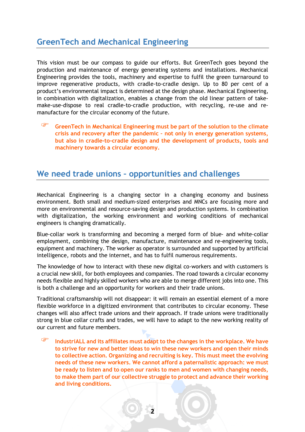### **GreenTech and Mechanical Engineering**

This vision must be our compass to guide our efforts. But GreenTech goes beyond the production and maintenance of energy generating systems and installations. Mechanical Engineering provides the tools, machinery and expertise to fulfil the green turnaround to improve regenerative products, with cradle-to-cradle design. Up to 80 per cent of a product's environmental impact is determined at the design phase. Mechanical Engineering, in combination with digitalization, enables a change from the old linear pattern of takemake-use-dispose to real cradle-to-cradle production, with recycling, re-use and remanufacture for the circular economy of the future.

F **GreenTech in Mechanical Engineering must be part of the solution to the climate crisis and recovery after the pandemic – not only in energy generation systems, but also in cradle-to-cradle design and the development of products, tools and machinery towards a circular economy.** 

## **We need trade unions – opportunities and challenges**

Mechanical Engineering is a changing sector in a changing economy and business environment. Both small and medium-sized enterprises and MNCs are focusing more and more on environmental and resource-saving design and production systems. In combination with digitalization, the working environment and working conditions of mechanical engineers is changing dramatically.

Blue-collar work is transforming and becoming a merged form of blue- and white-collar employment, combining the design, manufacture, maintenance and re-engineering tools, equipment and machinery. The worker as operator is surrounded and supported by artificial intelligence, robots and the internet, and has to fulfil numerous requirements.

The knowledge of how to interact with these new digital co-workers and with customers is a crucial new skill, for both employees and companies. The road towards a circular economy needs flexible and highly skilled workers who are able to merge different jobs into one. This is both a challenge and an opportunity for workers and their trade unions.

Traditional craftsmanship will not disappear: it will remain an essential element of a more flexible workforce in a digitized environment that contributes to circular economy. These changes will also affect trade unions and their approach. If trade unions were traditionally strong in blue collar crafts and trades, we will have to adapt to the new working reality of our current and future members.

F **IndustriALL and its affiliates must adapt to the changes in the workplace. We have to strive for new and better ideas to win these new workers and open their minds to collective action. Organizing and recruiting is key. This must meet the evolving needs of these new workers. We cannot afford a paternalistic approach: we must be ready to listen and to open our ranks to men and women with changing needs, to make them part of our collective struggle to protect and advance their working and living conditions.** 

**2**